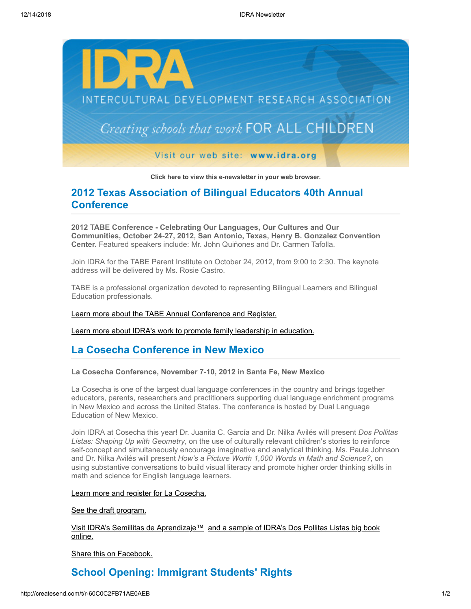

**[Click here to view this e-newsletter in your web browser.](http://newsletter.impulsedevelopment.com/t/r-e-kjdjjdd-l-r/)**

# **2012 Texas Association of Bilingual Educators 40th Annual Conference**

**2012 TABE Conference - Celebrating Our Languages, Our Cultures and Our Communities, October 24-27, 2012, San Antonio, Texas, Henry B. Gonzalez Convention Center.** Featured speakers include: Mr. John Quiñones and Dr. Carmen Tafolla.

Join IDRA for the TABE Parent Institute on October 24, 2012, from 9:00 to 2:30. The keynote address will be delivered by Ms. Rosie Castro.

TABE is a professional organization devoted to representing Bilingual Learners and Bilingual Education professionals.

### [Learn more about the TABE Annual Conference and Register.](http://newsletter.impulsedevelopment.com/t/r-l-kjdjjdd-l-i/)

[Learn more about IDRA's work to promote family leadership in education.](http://newsletter.impulsedevelopment.com/t/r-l-kjdjjdd-l-d/)

## **La Cosecha Conference in New Mexico**

### **La Cosecha Conference, November 7-10, 2012 in Santa Fe, New Mexico**

La Cosecha is one of the largest dual language conferences in the country and brings together educators, parents, researchers and practitioners supporting dual language enrichment programs in New Mexico and across the United States. The conference is hosted by Dual Language Education of New Mexico.

Join IDRA at Cosecha this year! Dr. Juanita C. García and Dr. Nilka Avilés will present *Dos Pollitas Listas: Shaping Up with Geometry*, on the use of culturally relevant children's stories to reinforce self-concept and simultaneously encourage imaginative and analytical thinking. Ms. Paula Johnson and Dr. Nilka Avilés will present *How's a Picture Worth 1,000 Words in Math and Science?*, on using substantive conversations to build visual literacy and promote higher order thinking skills in math and science for English language learners.

#### [Learn more and register for La Cosecha.](http://newsletter.impulsedevelopment.com/t/r-l-kjdjjdd-l-o/)

[See the draft program.](http://newsletter.impulsedevelopment.com/t/r-l-kjdjjdd-l-b/)

[Visit IDRA's Semillitas de Aprendizaje](http://newsletter.impulsedevelopment.com/t/r-l-kjdjjdd-l-n/)[™ and a sample of IDRA's Dos Pollitas Listas big book](http://newsletter.impulsedevelopment.com/t/r-l-kjdjjdd-l-m/) online.

[Share this on Facebook.](http://createsend.com/t/r-fb-kjdjjdd-l-f/?act=wv)

# **School Opening: Immigrant Students' Rights**